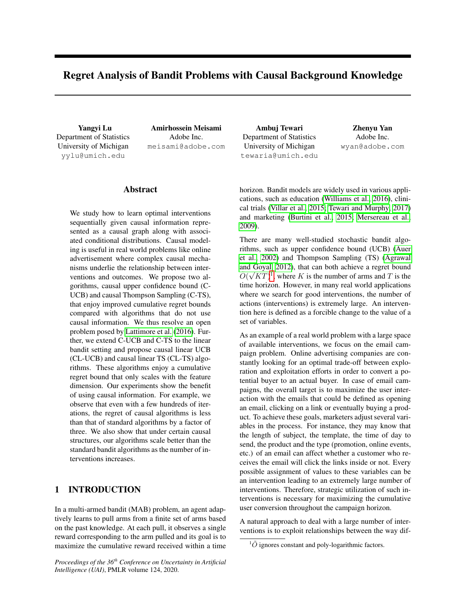# Regret Analysis of Bandit Problems with Causal Background Knowledge

Yangyi Lu Department of Statistics University of Michigan yylu@umich.edu

Amirhossein Meisami Adobe Inc. meisami@adobe.com

Ambuj Tewari Department of Statistics University of Michigan tewaria@umich.edu

Zhenyu Yan Adobe Inc. wyan@adobe.com

# Abstract

We study how to learn optimal interventions sequentially given causal information represented as a causal graph along with associated conditional distributions. Causal modeling is useful in real world problems like online advertisement where complex causal mechanisms underlie the relationship between interventions and outcomes. We propose two algorithms, causal upper confidence bound (C-UCB) and causal Thompson Sampling (C-TS), that enjoy improved cumulative regret bounds compared with algorithms that do not use causal information. We thus resolve an open problem posed by [Lattimore et al.](#page-9-0) [\(2016\)](#page-9-0). Further, we extend C-UCB and C-TS to the linear bandit setting and propose causal linear UCB (CL-UCB) and causal linear TS (CL-TS) algorithms. These algorithms enjoy a cumulative regret bound that only scales with the feature dimension. Our experiments show the benefit of using causal information. For example, we observe that even with a few hundreds of iterations, the regret of causal algorithms is less than that of standard algorithms by a factor of three. We also show that under certain causal structures, our algorithms scale better than the standard bandit algorithms as the number of interventions increases.

# 1 INTRODUCTION

In a multi-armed bandit (MAB) problem, an agent adaptively learns to pull arms from a finite set of arms based on the past knowledge. At each pull, it observes a single reward corresponding to the arm pulled and its goal is to maximize the cumulative reward received within a time

*Proceedings of the 36th Conference on Uncertainty in Artificial Intelligence (UAI)*, PMLR volume 124, 2020.

horizon. Bandit models are widely used in various applications, such as education [\(Williams et al., 2016\)](#page-9-1), clinical trials [\(Villar et al., 2015;](#page-9-2) [Tewari and Murphy, 2017\)](#page-9-3) and marketing [\(Burtini et al., 2015;](#page-9-4) [Mersereau et al.,](#page-9-5) [2009\)](#page-9-5).

There are many well-studied stochastic bandit algorithms, such as upper confidence bound (UCB) [\(Auer](#page-9-6) [et al., 2002\)](#page-9-6) and Thompson Sampling (TS) [\(Agrawal](#page-8-0) [and Goyal, 2012\)](#page-8-0), that can both achieve a regret bound  $\tilde{O}(\sqrt{KT})^1$  $\tilde{O}(\sqrt{KT})^1$ , where K is the number of arms and T is the time horizon. However, in many real world applications where we search for good interventions, the number of actions (interventions) is extremely large. An intervention here is defined as a forcible change to the value of a set of variables.

As an example of a real world problem with a large space of available interventions, we focus on the email campaign problem. Online advertising companies are constantly looking for an optimal trade-off between exploration and exploitation efforts in order to convert a potential buyer to an actual buyer. In case of email campaigns, the overall target is to maximize the user interaction with the emails that could be defined as opening an email, clicking on a link or eventually buying a product. To achieve these goals, marketers adjust several variables in the process. For instance, they may know that the length of subject, the template, the time of day to send, the product and the type (promotion, online events, etc.) of an email can affect whether a customer who receives the email will click the links inside or not. Every possible assignment of values to these variables can be an intervention leading to an extremely large number of interventions. Therefore, strategic utilization of such interventions is necessary for maximizing the cumulative user conversion throughout the campaign horizon.

A natural approach to deal with a large number of interventions is to exploit relationships between the way dif-

<span id="page-0-0"></span> ${}^{1}\tilde{O}$  ignores constant and poly-logarithmic factors.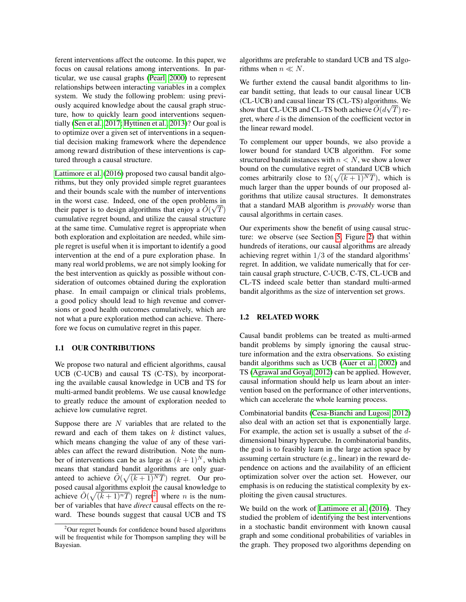ferent interventions affect the outcome. In this paper, we focus on causal relations among interventions. In particular, we use causal graphs [\(Pearl, 2000\)](#page-9-7) to represent relationships between interacting variables in a complex system. We study the following problem: using previously acquired knowledge about the causal graph structure, how to quickly learn good interventions sequentially [\(Sen et al., 2017;](#page-9-8) [Hyttinen et al., 2013\)](#page-9-9)? Our goal is to optimize over a given set of interventions in a sequential decision making framework where the dependence among reward distribution of these interventions is captured through a causal structure.

[Lattimore et al.](#page-9-0) [\(2016\)](#page-9-0) proposed two causal bandit algorithms, but they only provided simple regret guarantees and their bounds scale with the number of interventions in the worst case. Indeed, one of the open problems in their paper is to design algorithms that enjoy a  $\tilde{O}(\sqrt{T})$ cumulative regret bound, and utilize the causal structure at the same time. Cumulative regret is appropriate when both exploration and exploitation are needed, while simple regret is useful when it is important to identify a good intervention at the end of a pure exploration phase. In many real world problems, we are not simply looking for the best intervention as quickly as possible without consideration of outcomes obtained during the exploration phase. In email campaign or clinical trials problems, a good policy should lead to high revenue and conversions or good health outcomes cumulatively, which are not what a pure exploration method can achieve. Therefore we focus on cumulative regret in this paper.

### 1.1 OUR CONTRIBUTIONS

We propose two natural and efficient algorithms, causal UCB (C-UCB) and causal TS (C-TS), by incorporating the available causal knowledge in UCB and TS for multi-armed bandit problems. We use causal knowledge to greatly reduce the amount of exploration needed to achieve low cumulative regret.

Suppose there are  $N$  variables that are related to the reward and each of them takes on  $k$  distinct values, which means changing the value of any of these variables can affect the reward distribution. Note the number of interventions can be as large as  $(k + 1)^N$ , which means that standard bandit algorithms are only guaranteed to achieve  $\tilde{O}(\sqrt{(k+1)^{N}T})$  regret. Our proposed causal algorithms exploit the causal knowledge to achieve  $\tilde{O}(\sqrt{(k+1)^nT})$  regret<sup>[2](#page-1-0)</sup>, where *n* is the number of variables that have *direct* causal effects on the reward. These bounds suggest that causal UCB and TS algorithms are preferable to standard UCB and TS algorithms when  $n \ll N$ .

We further extend the causal bandit algorithms to linear bandit setting, that leads to our causal linear UCB (CL-UCB) and causal linear TS (CL-TS) algorithms. We show that CL-UCB and CL-TS both achieve  $\tilde O(d\sqrt{T})$  regret, where d is the dimension of the coefficient vector in the linear reward model.

To complement our upper bounds, we also provide a lower bound for standard UCB algorithm. For some structured bandit instances with  $n < N$ , we show a lower bound on the cumulative regret of standard UCB which comes arbitrarily close to  $\Omega(\sqrt{(k+1)^{N}T})$ , which is much larger than the upper bounds of our proposed algorithms that utilize causal structures. It demonstrates that a standard MAB algorithm is *provably* worse than causal algorithms in certain cases.

Our experiments show the benefit of using causal structure: we observe (see Section [5,](#page-6-0) Figure [2\)](#page-7-0) that within hundreds of iterations, our causal algorithms are already achieving regret within 1/3 of the standard algorithms' regret. In addition, we validate numerically that for certain causal graph structure, C-UCB, C-TS, CL-UCB and CL-TS indeed scale better than standard multi-armed bandit algorithms as the size of intervention set grows.

### 1.2 RELATED WORK

Causal bandit problems can be treated as multi-armed bandit problems by simply ignoring the causal structure information and the extra observations. So existing bandit algorithms such as UCB [\(Auer et al., 2002\)](#page-9-6) and TS [\(Agrawal and Goyal, 2012\)](#page-8-0) can be applied. However, causal information should help us learn about an intervention based on the performance of other interventions, which can accelerate the whole learning process.

Combinatorial bandits [\(Cesa-Bianchi and Lugosi, 2012\)](#page-9-10) also deal with an action set that is exponentially large. For example, the action set is usually a subset of the ddimensional binary hypercube. In combinatorial bandits, the goal is to feasibly learn in the large action space by assuming certain structure (e.g., linear) in the reward dependence on actions and the availability of an efficient optimization solver over the action set. However, our emphasis is on reducing the statistical complexity by exploiting the given causal structures.

We build on the work of [Lattimore et al.](#page-9-0) [\(2016\)](#page-9-0). They studied the problem of identifying the best interventions in a stochastic bandit environment with known causal graph and some conditional probabilities of variables in the graph. They proposed two algorithms depending on

<span id="page-1-0"></span> $2$ Our regret bounds for confidence bound based algorithms will be frequentist while for Thompson sampling they will be Bayesian.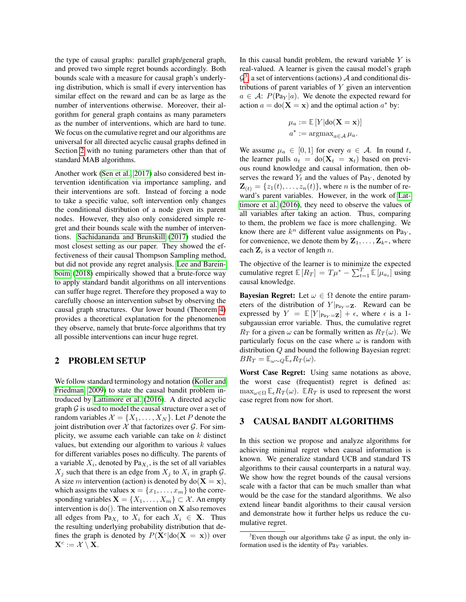the type of causal graphs: parallel graph/general graph, and proved two simple regret bounds accordingly. Both bounds scale with a measure for causal graph's underlying distribution, which is small if every intervention has similar effect on the reward and can be as large as the number of interventions otherwise. Moreover, their algorithm for general graph contains as many parameters as the number of interventions, which are hard to tune. We focus on the cumulative regret and our algorithms are universal for all directed acyclic causal graphs defined in Section [2](#page-2-0) with no tuning parameters other than that of standard MAB algorithms.

Another work [\(Sen et al., 2017\)](#page-9-8) also considered best intervention identification via importance sampling, and their interventions are soft. Instead of forcing a node to take a specific value, soft intervention only changes the conditional distribution of a node given its parent nodes. However, they also only considered simple regret and their bounds scale with the number of interventions. [Sachidananda and Brunskill](#page-9-11) [\(2017\)](#page-9-11) studied the most closest setting as our paper. They showed the effectiveness of their causal Thompson Sampling method, but did not provide any regret analysis. [Lee and Barein](#page-9-12)[boim](#page-9-12) [\(2018\)](#page-9-12) empirically showed that a brute-force way to apply standard bandit algorithms on all interventions can suffer huge regret. Therefore they proposed a way to carefully choose an intervention subset by observing the causal graph structures. Our lower bound (Theorem [4\)](#page-5-0) provides a theoretical explanation for the phenomenon they observe, namely that brute-force algorithms that try all possible interventions can incur huge regret.

### <span id="page-2-0"></span>2 PROBLEM SETUP

We follow standard terminology and notation [\(Koller and](#page-9-13) [Friedman, 2009\)](#page-9-13) to state the causal bandit problem introduced by [Lattimore et al.](#page-9-0) [\(2016\)](#page-9-0). A directed acyclic graph  $G$  is used to model the causal structure over a set of random variables  $\mathcal{X} = \{X_1, \ldots, X_N\}$ . Let P denote the joint distribution over  $X$  that factorizes over  $G$ . For simplicity, we assume each variable can take on  $k$  distinct values, but extending our algorithm to various  $k$  values for different variables poses no difficulty. The parents of a variable  $X_i$ , denoted by  $\text{Pa}_{X_i}$ , is the set of all variables  $X_j$  such that there is an edge from  $X_j$  to  $X_i$  in graph  $\mathcal{G}$ . A size m intervention (action) is denoted by  $do(X = x)$ , which assigns the values  $\mathbf{x} = \{x_1, \dots, x_m\}$  to the corresponding variables  $\mathbf{X} = \{X_1, \ldots, X_m\} \subset \mathcal{X}$ . An empty intervention is  $do()$ . The intervention on **X** also removes all edges from Pa $X_i$  to  $X_i$  for each  $X_i \in \mathbf{X}$ . Thus the resulting underlying probability distribution that defines the graph is denoted by  $P(X^c|do(X = x))$  over  $\mathbf{X}^c := \mathcal{X} \setminus \mathbf{X}.$ 

In this causal bandit problem, the reward variable  $Y$  is real-valued. A learner is given the causal model's graph  $\mathcal{G}^3$  $\mathcal{G}^3$ , a set of interventions (actions)  $\mathcal A$  and conditional distributions of parent variables of Y given an intervention  $a \in \mathcal{A}$ :  $P(\text{Pa}_Y|a)$ . We denote the expected reward for action  $a = \text{do}(\mathbf{X} = \mathbf{x})$  and the optimal action  $a^*$  by:

$$
\mu_a := \mathbb{E}[Y|\text{do}(\mathbf{X} = \mathbf{x})]
$$

$$
a^* := \operatorname{argmax}_{a \in \mathcal{A}} \mu_a.
$$

We assume  $\mu_a \in [0,1]$  for every  $a \in \mathcal{A}$ . In round t, the learner pulls  $a_t = \text{do}(\mathbf{X}_t = \mathbf{x}_t)$  based on previous round knowledge and causal information, then observes the reward  $Y_t$  and the values of Pa<sub>Y</sub>, denoted by  $\mathbf{Z}_{(t)} = \{z_1(t), \ldots, z_n(t)\}\text{, where } n \text{ is the number of re-}$ ward's parent variables. However, in the work of [Lat](#page-9-0)[timore et al.](#page-9-0) [\(2016\)](#page-9-0), they need to observe the values of all variables after taking an action. Thus, comparing to them, the problem we face is more challenging. We know there are  $k^n$  different value assignments on Pa<sub>Y</sub>, for convenience, we denote them by  $\mathbf{Z}_1, \ldots, \mathbf{Z}_{k^n}$ , where each  $\mathbf{Z}_i$  is a vector of length n.

The objective of the learner is to minimize the expected cumulative regret  $\mathbb{E}[R_T] = T\mu^* - \sum_{t=1}^T \mathbb{E}[\mu_{a_t}]$  using causal knowledge.

**Bayesian Regret:** Let  $\omega \in \Omega$  denote the entire parameters of the distribution of  $Y|_{\text{Pa}_Y = \mathbf{Z}}$ . Reward can be expressed by  $Y = \mathbb{E}[Y|_{\text{Pa}_Y = \mathbf{Z}}] + \epsilon$ , where  $\epsilon$  is a 1subgaussian error variable. Thus, the cumulative regret  $R_T$  for a given  $\omega$  can be formally written as  $R_T(\omega)$ . We particularly focus on the case where  $\omega$  is random with distribution Q and bound the following Bayesian regret:  $BR_T = \mathbb{E}_{\omega \sim Q} \mathbb{E}_{\epsilon} R_T(\omega).$ 

Worst Case Regret: Using same notations as above, the worst case (frequentist) regret is defined as:  $\max_{\omega \in \Omega} \mathbb{E}_{\epsilon} R_T(\omega)$ .  $\mathbb{E} R_T$  is used to represent the worst case regret from now for short.

# 3 CAUSAL BANDIT ALGORITHMS

In this section we propose and analyze algorithms for achieving minimal regret when causal information is known. We generalize standard UCB and standard TS algorithms to their causal counterparts in a natural way. We show how the regret bounds of the causal versions scale with a factor that can be much smaller than what would be the case for the standard algorithms. We also extend linear bandit algorithms to their causal version and demonstrate how it further helps us reduce the cumulative regret.

<span id="page-2-1"></span><sup>&</sup>lt;sup>3</sup>Even though our algorithms take  $G$  as input, the only information used is the identity of  $Pa<sub>Y</sub>$  variables.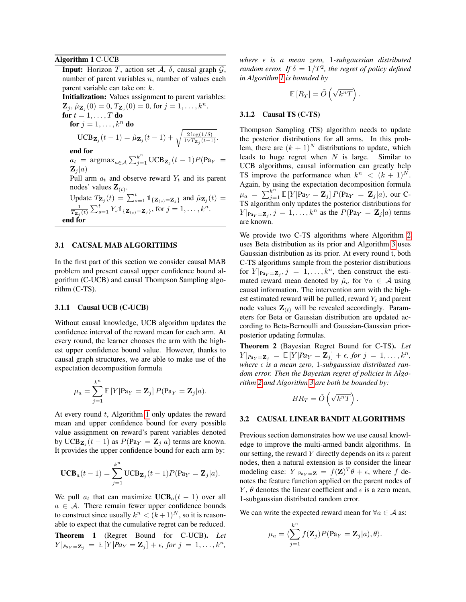### <span id="page-3-0"></span>Algorithm 1 C-UCB

**Input:** Horizon T, action set  $\mathcal{A}$ ,  $\delta$ , causal graph  $\mathcal{G}$ , number of parent variables  $n$ , number of values each parent variable can take on: k. Initialization: Values assignment to parent variables:

 $\mathbf{Z}_j, \hat{\mu}_{\mathbf{Z}_j}(0) = 0, T_{\mathbf{Z}_j}(0) = 0$ , for  $j = 1, ..., k^n$ . for  $t = 1, \ldots, T$  do for  $i = 1, \ldots, k^n$  do

$$
\text{UCB}_{\mathbf{Z}_j}(t-1) = \hat{\mu}_{\mathbf{Z}_j}(t-1) + \sqrt{\frac{2\log(1/\delta)}{1\sqrt{T_{\mathbf{Z}_j}(t-1)}}}.
$$

end for

 $a_t$  = argmax<sub> $a \in A$ </sub>  $\sum_{j=1}^{k^n} \text{UCB}_{\mathbf{Z}_j}(t-1)P(\text{Pa}_Y)$  =  $\mathbf{Z}_i | a)$ 

Pull arm  $a_t$  and observe reward  $Y_t$  and its parent nodes' values  $\mathbf{Z}_{(t)}$ .

Update 
$$
T_{\mathbf{Z}_j}(t) = \sum_{s=1}^t \mathbb{1}_{\{\mathbf{Z}_{(s)} = \mathbf{Z}_j\}}
$$
 and  $\hat{\mu}_{\mathbf{Z}_j}(t) = \frac{1}{T_{\mathbf{Z}_j}(t)} \sum_{s=1}^t Y_s \mathbb{1}_{\{\mathbf{Z}_{(s)} = \mathbf{Z}_j\}}$ , for  $j = 1, ..., k^n$ .  
end for

### 3.1 CAUSAL MAB ALGORITHMS

In the first part of this section we consider causal MAB problem and present causal upper confidence bound algorithm (C-UCB) and causal Thompson Sampling algorithm (C-TS).

#### 3.1.1 Causal UCB (C-UCB)

Without causal knowledge, UCB algorithm updates the confidence interval of the reward mean for each arm. At every round, the learner chooses the arm with the highest upper confidence bound value. However, thanks to causal graph structures, we are able to make use of the expectation decomposition formula

$$
\mu_a = \sum_{j=1}^{k^n} \mathbb{E}\left[Y|\mathbf{Pa}_Y = \mathbf{Z}_j\right]P(\mathbf{Pa}_Y = \mathbf{Z}_j|a).
$$

At every round  $t$ , Algorithm [1](#page-3-0) only updates the reward mean and upper confidence bound for every possible value assignment on reward's parent variables denoted by UCB $\mathbf{z}_j(t-1)$  as  $P(\text{Pa}_Y = \mathbf{Z}_j|a)$  terms are known. It provides the upper confidence bound for each arm by:

$$
\mathbf{UCB}_a(t-1) = \sum_{j=1}^{k^n} \mathbf{UCB}_{\mathbf{Z}_j}(t-1) P(\mathbf{Pa}_Y = \mathbf{Z}_j | a).
$$

We pull  $a_t$  that can maximize  $\text{UCB}_a(t-1)$  over all  $a \in \mathcal{A}$ . There remain fewer upper confidence bounds to construct since usually  $k^n < (k+1)^N$ , so it is reasonable to expect that the cumulative regret can be reduced. Theorem 1 (Regret Bound for C-UCB). *Let*  $Y|_{\text{Pa}_Y = \mathbf{Z}_i} = \mathbb{E}[Y|\text{Pa}_Y = \mathbf{Z}_j] + \epsilon, \text{ for } j = 1, \ldots, k^n,$  *where is a mean zero,* 1*-subgaussian distributed random error.* If  $\delta = 1/T^2$ , the regret of policy defined *in Algorithm [1](#page-3-0) is bounded by*

$$
\mathbb{E}\left[R_T\right] = \tilde{O}\left(\sqrt{k^nT}\right).
$$

#### 3.1.2 Causal TS (C-TS)

Thompson Sampling (TS) algorithm needs to update the posterior distributions for all arms. In this problem, there are  $(k + 1)^N$  distributions to update, which leads to huge regret when  $N$  is large. Similar to UCB algorithms, causal information can greatly help TS improve the performance when  $k^n \leq (k+1)^N$ . Again, by using the expectation decomposition formula  $\mu_a = \sum_{j=1}^{k^n} \mathbb{E}[Y|\text{Pa}_Y = \mathbf{Z}_j] P(\text{Pa}_Y = \mathbf{Z}_j | a)$ , our C-TS algorithm only updates the posterior distributions for  $Y|_{\text{Pa}_Y = \mathbf{Z}_j}, j = 1, \dots, k^n$  as the  $P(\text{Pa}_Y = \mathbf{Z}_j | a)$  terms are known.

We provide two C-TS algorithms where Algorithm [2](#page-4-0) uses Beta distribution as its prior and Algorithm [3](#page-4-1) uses Gaussian distribution as its prior. At every round t, both C-TS algorithms sample from the posterior distributions for  $Y|_{\text{Pa}_Y = \mathbf{Z}_j}$ ,  $j = 1, ..., k^n$ , then construct the estimated reward mean denoted by  $\hat{\mu}_a$  for  $\forall a \in \mathcal{A}$  using causal information. The intervention arm with the highest estimated reward will be pulled, reward  $Y_t$  and parent node values  $\mathbf{Z}_{(t)}$  will be revealed accordingly. Parameters for Beta or Gaussian distribution are updated according to Beta-Bernoulli and Gaussian-Gaussian priorposterior updating formulas.

Theorem 2 (Bayesian Regret Bound for C-TS). *Let*  $Y|_{\mathit{Pa}_Y = \mathbf{Z}_j} = \mathbb{E}[Y|\mathit{Pa}_Y = \mathbf{Z}_j] + \epsilon, \text{ for } j = 1, \ldots, k^n,$ where  $\epsilon$  is a mean zero, 1-subgaussian distributed ran*dom error. Then the Bayesian regret of policies in Algorithm [2](#page-4-0) and Algorithm [3](#page-4-1) are both be bounded by:*

$$
BR_T = \tilde{O}\left(\sqrt{k^nT}\right).
$$

#### 3.2 CAUSAL LINEAR BANDIT ALGORITHMS

Previous section demonstrates how we use causal knowledge to improve the multi-armed bandit algorithms. In our setting, the reward Y directly depends on its  $n$  parent nodes, then a natural extension is to consider the linear modeling case:  $Y|_{\text{Pa}_Y = \mathbf{Z}} = f(\mathbf{Z})^T \theta + \epsilon$ , where f denotes the feature function applied on the parent nodes of Y,  $\theta$  denotes the linear coefficient and  $\epsilon$  is a zero mean, 1-subgaussian distributed random error.

We can write the expected reward mean for  $\forall a \in \mathcal{A}$  as:

$$
\mu_a = \langle \sum_{j=1}^{k^n} f(\mathbf{Z}_j) P(\mathbf{Pa}_Y = \mathbf{Z}_j | a), \theta \rangle.
$$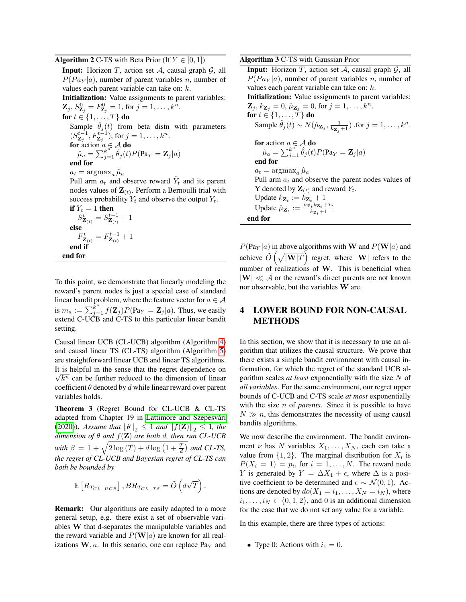### <span id="page-4-0"></span>**Algorithm 2** C-TS with Beta Prior (If  $Y \in [0, 1]$ )

**Input:** Horizon T, action set  $A$ , causal graph  $G$ , all  $P(P a_Y | a)$ , number of parent variables n, number of values each parent variable can take on: k. Initialization: Value assignments to parent variables:  $\mathbf{Z}_j, S^0_{\mathbf{Z}_j} = F^0_{\mathbf{Z}_j} = 1$ , for  $j = 1, \ldots, k^n$ . for  $t \in \{1, \ldots, T\}$  do Sample  $\hat{\theta}_j(t)$  from beta distn with parameters  $(S_{\mathbf{Z}_{j}}^{t-1}, F_{\mathbf{Z}_{j}}^{t-1}),$  for  $j = 1, ..., k^{n}$ . **for** action  $a \in \mathcal{A}$  **do**  $\hat{\mu}_a = \sum_{i=1}^{k^n}$  $\stackrel{k^n}{\partial_{j=1}} \hat{\theta}_j(t) P(\text{Pa}_Y = \mathbf{Z}_j | a)$ end for  $a_t = \arg\max_a \hat{\mu}_a$ Pull arm  $a_t$  and observe reward  $\tilde{Y}_t$  and its parent nodes values of  $\mathbf{Z}_{(t)}$ . Perform a Bernoulli trial with success probability  $Y_t$  and observe the output  $Y_t$ .<br>if  $Y_t - 1$  then  $= 1$  then

If 
$$
Y_t = 1
$$
 then  
\n
$$
S_{\mathbf{Z}_{(t)}}^t = S_{\mathbf{Z}_{(t)}}^{t-1} + 1
$$
\nelse  
\n
$$
F_{\mathbf{Z}_{(t)}}^t = F_{\mathbf{Z}_{(t)}}^{t-1} + 1
$$
\nend if  
\nend for

To this point, we demonstrate that linearly modeling the reward's parent nodes is just a special case of standard linear bandit problem, where the feature vector for  $a \in \mathcal{A}$ is  $m_a := \sum_{j=1}^{\hat{k}^n} f(\mathbf{Z}_j) P(\text{Pa}_Y = \mathbf{Z}_j | a)$ . Thus, we easily extend C-UCB and C-TS to this particular linear bandit setting.

Causal linear UCB (CL-UCB) algorithm (Algorithm [4\)](#page-5-1) and causal linear TS (CL-TS) algorithm (Algorithm [5\)](#page-5-2) are straightforward linear UCB and linear TS algorithms. It is helpful in the sense that the regret dependence on √  $\overline{k^n}$  can be further reduced to the dimension of linear coefficient  $\theta$  denoted by d while linear reward over parent variables holds.

Theorem 3 (Regret Bound for CL-UCB & CL-TS adapted from Chapter 19 in Lattimore and Szepesvári [\(2020\)](#page-9-14)). Assume that  $\|\theta\|_2 \leq 1$  and  $\|f(\mathbf{Z})\|_2 \leq 1$ , the *dimension of*  $\theta$  *and*  $f(\mathbf{Z})$  *are both d, then run CL-UCB* with  $\beta = 1 + \sqrt{2 \log(T) + d \log\left(1 + \frac{T}{d}\right)}$  and **CL-TS**, *the regret of CL-UCB and Bayesian regret of CL-TS can both be bounded by*

$$
\mathbb{E}\left[R_{T_{CL-UCB}}\right], BR_{T_{CL-TS}} = \tilde{O}\left(d\sqrt{T}\right).
$$

**Remark:** Our algorithms are easily adapted to a more general setup, e.g. there exist a set of observable variables W that d-separates the manipulable variables and the reward variable and  $P(\mathbf{W}|a)$  are known for all realizations  $W, a$ . In this senario, one can replace Pa<sub>Y</sub> and <span id="page-4-1"></span>Algorithm 3 C-TS with Gaussian Prior

**Input:** Horizon  $T$ , action set  $A$ , causal graph  $G$ , all  $P(P a_Y | a)$ , number of parent variables n, number of values each parent variable can take on: k. Initialization: Value assignments to parent variables:  ${\bf Z}_j, k_{{\bf Z}_j} = 0, \hat{\mu}_{{\bf Z}_j} = 0$ , for  $j = 1, \ldots, k^n$ . for  $t \in \{1, \ldots, T\}$  do Sample  $\hat{\theta}_j(t) \sim N(\hat{\mu}_{\mathbf{Z}_j}, \frac{1}{k_{\mathbf{Z}_j}+1})$  , for  $j = 1, \ldots, k^n$ . for action  $a \in \mathcal{A}$  do  $\hat{\mu}_a = \sum_{i=1}^{k^n}$  $\stackrel{k^n}{\partial_{j=1}} \hat{\theta}_j(t) P(\text{Pa}_Y = \mathbf{Z}_j | a)$ end for  $a_t = \arg\!\max_a \hat{\mu}_a$ Pull arm  $a_t$  and observe the parent nodes values of Y denoted by  $\mathbf{Z}_{(t)}$  and reward  $Y_t$ . Update  $k_{\mathbf{Z}_t} := k_{\mathbf{Z}_t} + 1$ Update  $\hat{\mu}_{\mathbf{Z}_t} := \frac{\hat{\mu}_{\mathbf{Z}_t} k_{\mathbf{Z}_t} + Y_t}{k_{\mathbf{Z}_t} + 1}$  $k_{\mathbf{Z}_t}+1$ end for

 $P(\text{Pa}_Y | a)$  in above algorithms with **W** and  $P(\textbf{W} | a)$  and achieve  $\tilde{O}\left(\sqrt{|\mathbf{W}|T}\right)$  regret, where  $|\mathbf{W}|$  refers to the number of realizations of W. This is beneficial when  $|\mathbf{W}| \ll A$  or the reward's direct parents are not known nor observable, but the variables W are.

# 4 LOWER BOUND FOR NON-CAUSAL METHODS

In this section, we show that it is necessary to use an algorithm that utilizes the causal structure. We prove that there exists a simple bandit environment with causal information, for which the regret of the standard UCB algorithm scales *at least* exponentially with the size N of *all variables*. For the same environment, our regret upper bounds of C-UCB and C-TS scale *at most* exponentially with the size *n* of *parents*. Since it is possible to have  $N \gg n$ , this demonstrates the necessity of using causal bandits algorithms.

We now describe the environment. The bandit environment  $\nu$  has N variables  $X_1, \ldots, X_N$ , each can take a value from  $\{1, 2\}$ . The marginal distribution for  $X_i$  is  $P(X_i = 1) = p_i$ , for  $i = 1, ..., N$ . The reward node Y is generated by  $Y = \Delta X_1 + \epsilon$ , where  $\Delta$  is a positive coefficient to be determined and  $\epsilon \sim \mathcal{N}(0, 1)$ . Actions are denoted by  $do(X_1 = i_1, \ldots, X_N = i_N)$ , where  $i_1, \ldots, i_N \in \{0, 1, 2\}$ , and 0 is an additional dimension for the case that we do not set any value for a variable.

In this example, there are three types of actions:

• Type 0: Actions with  $i_1 = 0$ .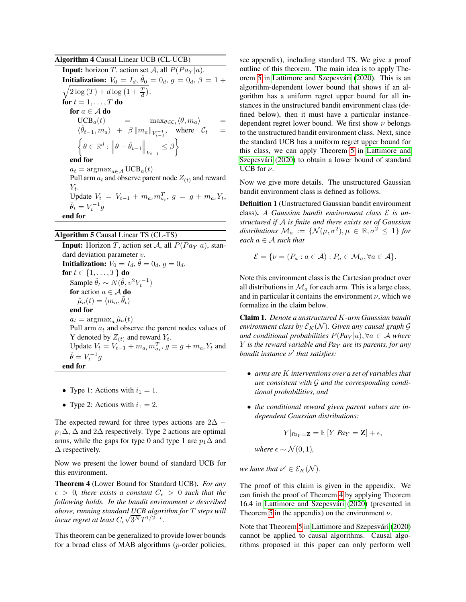<span id="page-5-1"></span>Algorithm 4 Causal Linear UCB (CL-UCB)

**Input:** horizon T, action set A, all  $P(P a_V | a)$ . **Initialization:**  $V_0 = I_d$ ,  $\hat{\theta}_0 = 0_d$ ,  $g = 0_d$ ,  $\beta = 1 +$  $\sqrt{2\log(T) + d\log\left(1 + \frac{T}{d}\right)}$ . for  $t = 1, \ldots, T$  do for  $a \in \mathcal{A}$  do  $UCB_a(t)$  =  $\max_{\theta \in C_t} \langle \theta, m_a \rangle$  =  $\langle \hat{\theta}_{t-1}, m_a \rangle$  +  $\beta \| m_a \|_{V_{t-1}^{-1}}$ , where  $\mathcal{C}_t$  =  $\left\{ \theta \in \mathbb{R}^d: \left\Vert \theta - \hat{\theta}_{t-1} \right\Vert_{V_{t-1}} \leq \beta \right\}$ end for  $a_t = \text{argmax}_{a \in \mathcal{A}} \text{UCB}_a(t)$ Pull arm  $a_t$  and observe parent node  $Z(t)$  and reward  $Y_t$ . Update  $V_t = V_{t-1} + m_{a_t} m_{a_t}^T$ ,  $g = g + m_{a_t} Y_t$ ,  $\hat{\theta}_t = V_t^{-1}g$ end for

### <span id="page-5-2"></span>Algorithm 5 Causal Linear TS (CL-TS)

**Input:** Horizon T, action set A, all  $P(P a_Y | a)$ , standard deviation parameter v. Initialization:  $\hat{V}_0 = I_d, \hat{\theta} = 0_d, g = 0_d.$ for  $t \in \{1, \ldots, T\}$  do Sample  $\tilde{\theta}_t \sim N(\hat{\theta}, v^2 V_t^{-1})$ for action  $a \in \mathcal{A}$  do  $\hat{\mu}_a(t) = \langle m_a, \tilde{\theta}_t \rangle$ end for  $a_t = \argmax_a \hat{\mu}_a(t)$ Pull arm  $a_t$  and observe the parent nodes values of Y denoted by  $Z(t)$  and reward  $Y_t$ . Update  $V_t = V_{t-1} + m_{a_t} m_{a_t}^T$ ,  $g = g + m_{a_t} Y_t$  and  $\hat{\theta} = V_t^{-1}g$ end for

- Type 1: Actions with  $i_1 = 1$ .
- Type 2: Actions with  $i_1 = 2$ .

The expected reward for three types actions are  $2\Delta$  −  $p_1\Delta$ ,  $\Delta$  and 2 $\Delta$  respectively. Type 2 actions are optimal arms, while the gaps for type 0 and type 1 are  $p_1\Delta$  and  $\Delta$  respectively.

Now we present the lower bound of standard UCB for this environment.

<span id="page-5-0"></span>Theorem 4 (Lower Bound for Standard UCB). *For any*  $\epsilon > 0$ , there exists a constant  $C_{\epsilon} > 0$  such that the *following holds. In the bandit environment* ν *described above, running standard UCB algorithm for* T *steps will* √ incur regret at least  $C_{\epsilon}\sqrt{3^{N}}T^{1/2-\epsilon}.$ 

This theorem can be generalized to provide lower bounds for a broad class of MAB algorithms (p-order policies, see appendix), including standard TS. We give a proof outline of this theorem. The main idea is to apply The-orem [5](#page--1-0) in Lattimore and Szepesvári [\(2020\)](#page-9-14). This is an algorithm-dependent lower bound that shows if an algorithm has a uniform regret upper bound for all instances in the unstructured bandit environment class (defined below), then it must have a particular instancedependent regret lower bound. We first show  $\nu$  belongs to the unstructured bandit environment class. Next, since the standard UCB has a uniform regret upper bound for this class, we can apply Theorem [5](#page--1-0) in [Lattimore and](#page-9-14) Szepesvári [\(2020\)](#page-9-14) to obtain a lower bound of standard UCB for  $\nu$ .

Now we give more details. The unstructured Gaussian bandit environment class is defined as follows.

Definition 1 (Unstructured Gaussian bandit environment class). A Gaussian bandit environment class  $\mathcal E$  is un*structured if* A *is finite and there exists set of Gaussian*  $distributions \mathcal{M}_a := \{ \mathcal{N}(\mu, \sigma^2), \mu \in \mathbb{R}, \sigma^2 \leq 1 \}$  for *each* a ∈ A *such that*

$$
\mathcal{E} = \{ \nu = (P_a : a \in \mathcal{A}) : P_a \in \mathcal{M}_a, \forall a \in \mathcal{A} \}.
$$

Note this environment class is the Cartesian product over all distributions in  $\mathcal{M}_a$  for each arm. This is a large class, and in particular it contains the environment  $\nu$ , which we formalize in the claim below.

Claim 1. *Denote a unstructured* K*-arm Gaussian bandit environment class by*  $\mathcal{E}_K(\mathcal{N})$ *. Given any causal graph*  $\mathcal G$ *and conditional probabilities*  $P(Pa_Y | a)$ ,  $\forall a \in \mathcal{A}$  *where* Y *is the reward variable and Pa*<sub>Y</sub> *are its parents, for any bandit instance*  $ν'$  *that satisfies:* 

- *arms are* K *interventions over a set of variables that are consistent with* G *and the corresponding conditional probabilities, and*
- *the conditional reward given parent values are independent Gaussian distributions:*

$$
Y|_{\text{Pa}_Y=\mathbf{Z}} = \mathbb{E}[Y|\text{Pa}_Y=\mathbf{Z}] + \epsilon,
$$

*where*  $\epsilon \sim \mathcal{N}(0, 1)$ *,* 

*we have that*  $\nu' \in \mathcal{E}_K(\mathcal{N})$ *.* 

The proof of this claim is given in the appendix. We can finish the proof of Theorem [4](#page-5-0) by applying Theorem 16.4 in Lattimore and Szepesvári [\(2020\)](#page-9-14) (presented in Theorem [5](#page--1-0) in the appendix) on the environment  $\nu$ .

Note that Theorem [5](#page--1-0) in Lattimore and Szepesvári [\(2020\)](#page-9-14) cannot be applied to causal algorithms. Causal algorithms proposed in this paper can only perform well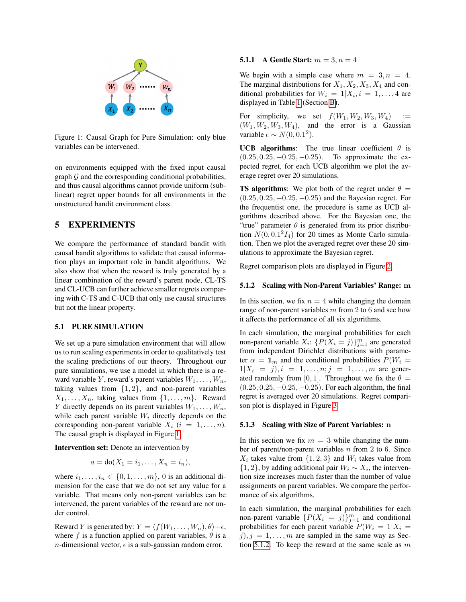

<span id="page-6-1"></span>Figure 1: Causal Graph for Pure Simulation: only blue variables can be intervened.

on environments equipped with the fixed input causal graph  $\mathcal G$  and the corresponding conditional probabilities, and thus causal algorithms cannot provide uniform (sublinear) regret upper bounds for all environments in the unstructured bandit environment class.

# <span id="page-6-0"></span>5 EXPERIMENTS

We compare the performance of standard bandit with causal bandit algorithms to validate that causal information plays an important role in bandit algorithms. We also show that when the reward is truly generated by a linear combination of the reward's parent node, CL-TS and CL-UCB can further achieve smaller regrets comparing with C-TS and C-UCB that only use causal structures but not the linear property.

#### 5.1 PURE SIMULATION

We set up a pure simulation environment that will allow us to run scaling experiments in order to qualitatively test the scaling predictions of our theory. Throughout our pure simulations, we use a model in which there is a reward variable Y, reward's parent variables  $W_1, \ldots, W_n$ , taking values from  $\{1, 2\}$ , and non-parent variables  $X_1, \ldots, X_n$ , taking values from  $\{1, \ldots, m\}$ . Reward Y directly depends on its parent variables  $W_1, \ldots, W_n$ , while each parent variable  $W_i$  directly depends on the corresponding non-parent variable  $X_i$   $(i = 1, \ldots, n)$ . The causal graph is displayed in Figure [1.](#page-6-1)

Intervention set: Denote an intervention by

$$
a = \text{do}(X_1 = i_1, \dots, X_n = i_n),
$$

where  $i_1, \ldots, i_n \in \{0, 1, \ldots, m\}$ , 0 is an additional dimension for the case that we do not set any value for a variable. That means only non-parent variables can be intervened, the parent variables of the reward are not under control.

Reward Y is generated by:  $Y = \langle f(W_1, \ldots, W_n), \theta \rangle + \epsilon$ , where f is a function applied on parent variables,  $\theta$  is a *n*-dimensional vector,  $\epsilon$  is a sub-gaussian random error.

### **5.1.1** A Gentle Start:  $m = 3, n = 4$

We begin with a simple case where  $m = 3, n = 4$ . The marginal distributions for  $X_1, X_2, X_3, X_4$  and conditional probabilities for  $W_i = 1 | X_i, i = 1, \ldots, 4$  are displayed in Table [1](#page--1-1) (Section [B\)](#page--1-2).

For simplicity, we set  $f(W_1, W_2, W_3, W_4)$  :=  $(W_1, W_2, W_3, W_4)$ , and the error is a Gaussian variable  $\epsilon \sim N(0, 0.1^2)$ .

UCB algorithms: The true linear coefficient  $\theta$  is  $(0.25, 0.25, -0.25, -0.25)$ . To approximate the expected regret, for each UCB algorithm we plot the average regret over 20 simulations.

**TS algorithms:** We plot both of the regret under  $\theta =$  $(0.25, 0.25, -0.25, -0.25)$  and the Bayesian regret. For the frequentist one, the procedure is same as UCB algorithms described above. For the Bayesian one, the "true" parameter  $\theta$  is generated from its prior distribution  $N(0, 0.1<sup>2</sup> I<sub>4</sub>)$  for 20 times as Monte Carlo simulation. Then we plot the averaged regret over these 20 simulations to approximate the Bayesian regret.

Regret comparison plots are displayed in Figure [2.](#page-7-0)

### <span id="page-6-2"></span>5.1.2 Scaling with Non-Parent Variables' Range: m

In this section, we fix  $n = 4$  while changing the domain range of non-parent variables  $m$  from 2 to 6 and see how it affects the performance of all six algorithms.

In each simulation, the marginal probabilities for each non-parent variable  $X_i$ :  $\{P(X_i = j)\}_{j=1}^m$  are generated from independent Dirichlet distributions with parameter  $\alpha = \mathbb{1}_m$  and the conditional probabilities  $P(W_i =$  $1|X_i = j|, i = 1, \ldots, n; j = 1, \ldots, m$  are generated randomly from [0, 1]. Throughout we fix the  $\theta =$  $(0.25, 0.25, -0.25, -0.25)$ . For each algorithm, the final regret is averaged over 20 simulations. Regret comparison plot is displayed in Figure [3.](#page-7-1)

#### 5.1.3 Scaling with Size of Parent Variables: n

In this section we fix  $m = 3$  while changing the number of parent/non-parent variables  $n$  from 2 to 6. Since  $X_i$  takes value from  $\{1, 2, 3\}$  and  $W_i$  takes value from  $\{1, 2\}$ , by adding additional pair  $W_i \sim X_i$ , the intervention size increases much faster than the number of value assignments on parent variables. We compare the performance of six algorithms.

In each simulation, the marginal probabilities for each non-parent variable  $\{P(X_i = j)\}_{j=1}^m$  and conditional probabilities for each parent variable  $P(W_i = 1 | X_i =$  $j, j = 1, \ldots, m$  are sampled in the same way as Sec-tion [5.1.2.](#page-6-2) To keep the reward at the same scale as  $m$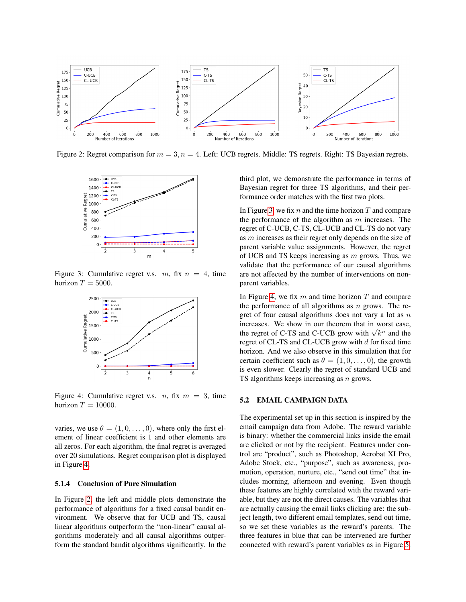

Figure 2: Regret comparison for  $m = 3$ ,  $n = 4$ . Left: UCB regrets. Middle: TS regrets. Right: TS Bayesian regrets.

<span id="page-7-0"></span>

Figure 3: Cumulative regret v.s.  $m$ , fix  $n = 4$ , time horizon  $T = 5000$ .

<span id="page-7-1"></span>

<span id="page-7-2"></span>Figure 4: Cumulative regret v.s.  $n$ , fix  $m = 3$ , time horizon  $T = 10000$ .

varies, we use  $\theta = (1, 0, \dots, 0)$ , where only the first element of linear coefficient is 1 and other elements are all zeros. For each algorithm, the final regret is averaged over 20 simulations. Regret comparison plot is displayed in Figure [4.](#page-7-2)

### 5.1.4 Conclusion of Pure Simulation

In Figure [2,](#page-7-0) the left and middle plots demonstrate the performance of algorithms for a fixed causal bandit environment. We observe that for UCB and TS, causal linear algorithms outperform the "non-linear" causal algorithms moderately and all causal algorithms outperform the standard bandit algorithms significantly. In the third plot, we demonstrate the performance in terms of Bayesian regret for three TS algorithms, and their performance order matches with the first two plots.

In Figure [3,](#page-7-1) we fix n and the time horizon  $T$  and compare the performance of the algorithm as  $m$  increases. The regret of C-UCB, C-TS, CL-UCB and CL-TS do not vary as m increases as their regret only depends on the size of parent variable value assignments. However, the regret of UCB and TS keeps increasing as  $m$  grows. Thus, we validate that the performance of our causal algorithms are not affected by the number of interventions on nonparent variables.

In Figure [4,](#page-7-2) we fix  $m$  and time horizon  $T$  and compare the performance of all algorithms as  $n$  grows. The regret of four causal algorithms does not vary a lot as  $n$ increases. We show in our theorem that in worst case, increases. We show in our theorem that in worst case, the regret of C-TS and C-UCB grow with  $\sqrt{k^n}$  and the regret of CL-TS and CL-UCB grow with  $d$  for fixed time horizon. And we also observe in this simulation that for certain coefficient such as  $\theta = (1, 0, \dots, 0)$ , the growth is even slower. Clearly the regret of standard UCB and TS algorithms keeps increasing as  $n$  grows.

### 5.2 EMAIL CAMPAIGN DATA

The experimental set up in this section is inspired by the email campaign data from Adobe. The reward variable is binary: whether the commercial links inside the email are clicked or not by the recipient. Features under control are "product", such as Photoshop, Acrobat XI Pro, Adobe Stock, etc., "purpose", such as awareness, promotion, operation, nurture, etc., "send out time" that includes morning, afternoon and evening. Even though these features are highly correlated with the reward variable, but they are not the direct causes. The variables that are actually causing the email links clicking are: the subject length, two different email templates, send out time, so we set these variables as the reward's parents. The three features in blue that can be intervened are further connected with reward's parent variables as in Figure [5.](#page-8-1)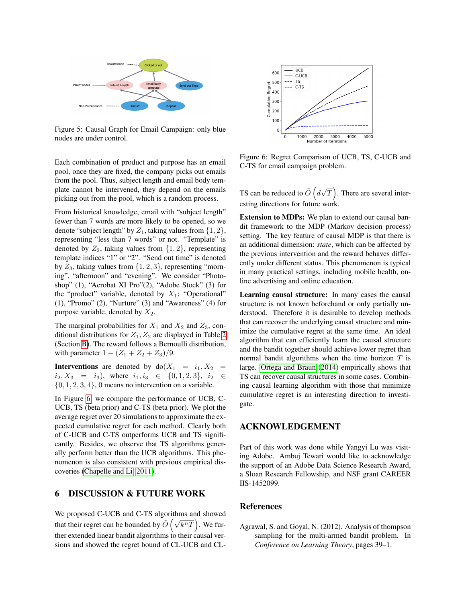

<span id="page-8-1"></span>Figure 5: Causal Graph for Email Campaign: only blue nodes are under control.

Each combination of product and purpose has an email pool, once they are fixed, the company picks out emails from the pool. Thus, subject length and email body template cannot be intervened, they depend on the emails picking out from the pool, which is a random process.

From historical knowledge, email with "subject length" fewer than 7 words are more likely to be opened, so we denote "subject length" by  $Z_1$ , taking values from  $\{1, 2\}$ , representing "less than 7 words" or not. "Template" is denoted by  $Z_2$ , taking values from  $\{1, 2\}$ , representing template indices "1" or "2". "Send out time" is denoted by  $Z_3$ , taking values from  $\{1, 2, 3\}$ , representing "morning", "afternoon" and "evening". We consider "Photoshop" (1), "Acrobat XI Pro"(2), "Adobe Stock" (3) for the "product" variable, denoted by  $X_1$ ; "Operational" (1), "Promo" (2), "Nurture" (3) and "Awareness" (4) for purpose variable, denoted by  $X_2$ .

The marginal probabilities for  $X_1$  and  $X_2$  and  $Z_3$ , conditional distributions for  $Z_1, Z_2$  are displayed in Table [2](#page--1-3) (Section [B\)](#page--1-2). The reward follows a Bernoulli distribution, with parameter  $1 - (Z_1 + Z_2 + Z_3)/9$ .

**Interventions** are denoted by  $do(X_1 = i_1, X_2 =$  $i_2, X_3 = i_3$ , where  $i_1, i_3 \in \{0, 1, 2, 3\}, i_2 \in$  $\{0, 1, 2, 3, 4\}$ , 0 means no intervention on a variable.

In Figure [6,](#page-8-2) we compare the performance of UCB, C-UCB, TS (beta prior) and C-TS (beta prior). We plot the average regret over 20 simulations to approximate the expected cumulative regret for each method. Clearly both of C-UCB and C-TS outperforms UCB and TS significantly. Besides, we observe that TS algorithms generally perform better than the UCB algorithms. This phenomenon is also consistent with previous empirical discoveries [\(Chapelle and Li, 2011\)](#page-9-15).

# 6 DISCUSSION & FUTURE WORK

We proposed C-UCB and C-TS algorithms and showed that their regret can be bounded by  $\tilde{O}(\sqrt{k^nT})$ . We further extended linear bandit algorithms to their causal versions and showed the regret bound of CL-UCB and CL-



<span id="page-8-2"></span>Figure 6: Regret Comparison of UCB, TS, C-UCB and C-TS for email campaign problem.

TS can be reduced to  $\tilde{O}$   $\Big( d$ √  $\overline{T}$ ). There are several interesting directions for future work.

Extension to MDPs: We plan to extend our causal bandit framework to the MDP (Markov decision process) setting. The key feature of causal MDP is that there is an additional dimension: *state*, which can be affected by the previous intervention and the reward behaves differently under different status. This phenomenon is typical in many practical settings, including mobile health, online advertising and online education.

Learning causal structure: In many cases the causal structure is not known beforehand or only partially understood. Therefore it is desirable to develop methods that can recover the underlying causal structure and minimize the cumulative regret at the same time. An ideal algorithm that can efficiently learn the causal structure and the bandit together should achieve lower regret than normal bandit algorithms when the time horizon  $T$  is large. [Ortega and Braun](#page-9-16) [\(2014\)](#page-9-16) empirically shows that TS can recover causal structures in some cases. Combining causal learning algorithm with those that minimize cumulative regret is an interesting direction to investigate.

### ACKNOWLEDGEMENT

Part of this work was done while Yangyi Lu was visiting Adobe. Ambuj Tewari would like to acknowledge the support of an Adobe Data Science Research Award, a Sloan Research Fellowship, and NSF grant CAREER IIS-1452099.

### References

<span id="page-8-0"></span>Agrawal, S. and Goyal, N. (2012). Analysis of thompson sampling for the multi-armed bandit problem. In *Conference on Learning Theory*, pages 39–1.